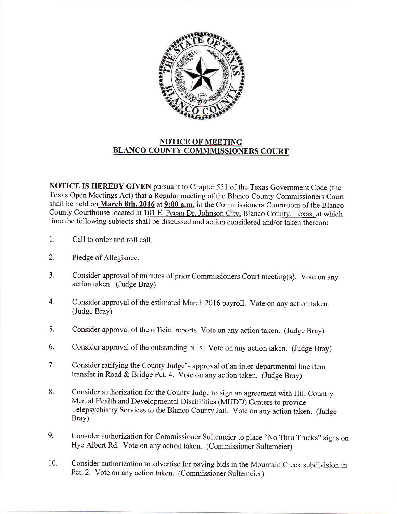

## NOTICE OF MEETING BLANCO COUNTY COMMMISSIONERS COURT

NOTICE IS HEREBY GIVEN pursuant to Chapter 551 of the Texas Government Code (the Texas Open Meetings Act) that a Regular meeting of the Blanco County Commissioners Court shall be held on March 8th, 2016 at  $9:00$  a.m. in the Commissioners Courtroom of the Blanco County Courthouse located at 101 E. Pecan Dr. Johnson City, Blanco County, Texas, at which time the following subjects shall be discussed and action considered and/or taken thereon:

- 1. Call to order and roll call.
- 2. Pledge of Allegiance.
- 3. Consider approval of minutes of prior Commissioners Court meeting(s). Vote on any action taken. (Judge Bray)
- 4. Consider approval of the estimated March 2016 payroll. Vote on any action taken. (Judge Bray)
- 5, Consider approval of the official reports. Vote on any action taken. (Judge Bray)
- 6, Consider approval of the outstanding bills. Vote on any action taken. (Judge Bray)
- 7. Consider ratifying the County Judge's approval of an inter-departmental line item transfer in Road & Bridge Pct. 4. Vote on any action taken. (Judge Bray)
- 8. Consider authorization for the County Judge to sign an agreement with Hill Country Mental Health and Developmental Disabilities (MHDD) Centers to provide Telepsychiatry Services to the Blanco County Jail. Vote on any action taken. (Judge Bray)
- 9. Consider authorization for Commissioner Sultemeier to place "No Thru Trucks" signs on Hye Albert Rd. vote on any action taken. (commissioner Sultemeier)
- 10. Consider authorization to advertise for paving bids in the Mountain Creek subdivision in Pct.2. Vote on any action taken. (Commissioner Sultemeier)